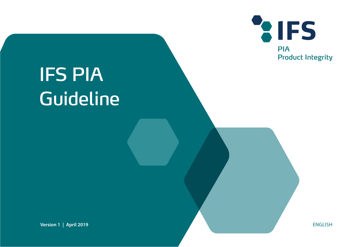

# IFS PIA Guideline

**Version 1 | April 2019** ENGLISH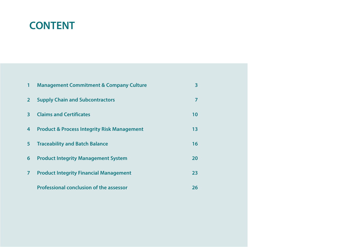#### **CONTENT**

| $\mathbf{1}$   | <b>Management Commitment &amp; Company Culture</b>     | 3  |
|----------------|--------------------------------------------------------|----|
| 2 <sup>1</sup> | <b>Supply Chain and Subcontractors</b>                 | 7  |
| $\overline{3}$ | <b>Claims and Certificates</b>                         | 10 |
| 4              | <b>Product &amp; Process Integrity Risk Management</b> | 13 |
| 5 <sup>5</sup> | <b>Traceability and Batch Balance</b>                  | 16 |
| 6              | <b>Product Integrity Management System</b>             | 20 |
| $\overline{7}$ | <b>Product Integrity Financial Management</b>          | 23 |
|                | <b>Professional conclusion of the assessor</b>         | 26 |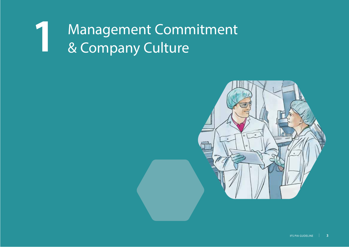#### Management Commitment **1**& Company Culture

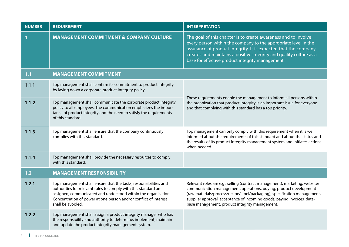| <b>NUMBER</b> | <b>REQUIREMENT</b>                                                                                                                                                                                                                                                                             | <b>INTERPRETATION</b>                                                                                                                                                                                                                                                                                                                                      |
|---------------|------------------------------------------------------------------------------------------------------------------------------------------------------------------------------------------------------------------------------------------------------------------------------------------------|------------------------------------------------------------------------------------------------------------------------------------------------------------------------------------------------------------------------------------------------------------------------------------------------------------------------------------------------------------|
|               | <b>MANAGEMENT COMMITMENT &amp; COMPANY CULTURE</b>                                                                                                                                                                                                                                             | The goal of this chapter is to create awareness and to involve<br>every person within the company to the appropriate level in the<br>assurance of product integrity. It is expected that the company<br>creates and maintains a positive integrity and quality culture as a<br>base for effective product integrity management.                            |
| 1.1           | <b>MANAGEMENT COMMITMENT</b>                                                                                                                                                                                                                                                                   |                                                                                                                                                                                                                                                                                                                                                            |
| 1.1.1         | Top management shall confirm its commitment to product integrity<br>by laying down a corporate product integrity policy.                                                                                                                                                                       |                                                                                                                                                                                                                                                                                                                                                            |
| 1.1.2         | Top management shall communicate the corporate product integrity<br>policy to all employees. The communication emphasizes the impor-<br>tance of product integrity and the need to satisfy the requirements<br>of this standard.                                                               | These requirements enable the management to inform all persons within<br>the organization that product integrity is an important issue for everyone<br>and that complying with this standard has a top priority.                                                                                                                                           |
| 1.1.3         | Top management shall ensure that the company continuously<br>complies with this standard.                                                                                                                                                                                                      | Top management can only comply with this requirement when it is well<br>informed about the requirements of this standard and about the status and<br>the results of its product integrity management system and initiates actions<br>when needed.                                                                                                          |
| 1.1.4         | Top management shall provide the necessary resources to comply<br>with this standard.                                                                                                                                                                                                          |                                                                                                                                                                                                                                                                                                                                                            |
| $1.2$         | <b>MANAGEMENT RESPONSIBILITY</b>                                                                                                                                                                                                                                                               |                                                                                                                                                                                                                                                                                                                                                            |
| 1.2.1         | Top management shall ensure that the tasks, responsibilities and<br>authorities for relevant roles to comply with this standard are<br>assigned, communicated and understood within the organization.<br>Concentration of power at one person and/or conflict of interest<br>shall be avoided. | Relevant roles are e.g.: selling (contract management), marketing, website/<br>communication management, operations, buying, product development<br>(raw materials/process/recipe/label/packaging), specification management,<br>supplier approval, acceptance of incoming goods, paying invoices, data-<br>base management, product integrity management. |
| 1.2.2         | Top management shall assign a product integrity manager who has<br>the responsibility and authority to determine, implement, maintain<br>and update the product integrity management system.                                                                                                   |                                                                                                                                                                                                                                                                                                                                                            |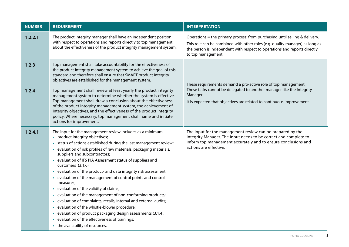| <b>NUMBER</b> | <b>REQUIREMENT</b>                                                                                                                                                                                                                                                                                                                                                                                                                                                                                                                                                                                                                                                                                                                                                                                                                                                                                                      | <b>INTERPRETATION</b>                                                                                                                                                                                                                                          |
|---------------|-------------------------------------------------------------------------------------------------------------------------------------------------------------------------------------------------------------------------------------------------------------------------------------------------------------------------------------------------------------------------------------------------------------------------------------------------------------------------------------------------------------------------------------------------------------------------------------------------------------------------------------------------------------------------------------------------------------------------------------------------------------------------------------------------------------------------------------------------------------------------------------------------------------------------|----------------------------------------------------------------------------------------------------------------------------------------------------------------------------------------------------------------------------------------------------------------|
| 1.2.2.1       | The product integrity manager shall have an independent position<br>with respect to operations and reports directly to top management<br>about the effectiveness of the product integrity management system.                                                                                                                                                                                                                                                                                                                                                                                                                                                                                                                                                                                                                                                                                                            | Operations = the primary process: from purchasing until selling & delivery.<br>This role can be combined with other roles (e.g. quality manager) as long as<br>the person is independent with respect to operations and reports directly<br>to top management. |
| 1.2.3         | Top management shall take accountability for the effectiveness of<br>the product integrity management system to achieve the goal of this<br>standard and therefore shall ensure that SMART product integrity<br>objectives are established for the management system.                                                                                                                                                                                                                                                                                                                                                                                                                                                                                                                                                                                                                                                   | These requirements demand a pro-active role of top management.                                                                                                                                                                                                 |
| 1.2.4         | Top management shall review at least yearly the product integrity<br>management system to determine whether the system is effective.<br>Top management shall draw a conclusion about the effectiveness<br>of the product integrity management system, the achievement of<br>integrity objectives, and the effectiveness of the product integrity<br>policy. Where necessary, top management shall name and initiate<br>actions for improvement.                                                                                                                                                                                                                                                                                                                                                                                                                                                                         | These tasks cannot be delegated to another manager like the Integrity<br>Manager.<br>It is expected that objectives are related to continuous improvement.                                                                                                     |
| 1.2.4.1       | The input for the management review includes as a minimum:<br>• product integrity objectives;<br>• status of actions established during the last management review;<br>evaluation of risk profiles of raw materials, packaging materials,<br>suppliers and subcontractors;<br>• evaluation of IFS PIA Assessment status of suppliers and<br>customers (3.1.6);<br>evaluation of the product- and data integrity risk assessment;<br>• evaluation of the management of control points and control<br>measures;<br>evaluation of the validity of claims;<br>• evaluation of the management of non-conforming products;<br>· evaluation of complaints, recalls, internal and external audits;<br>evaluation of the whistle-blower procedure;<br>$\bullet$<br>evaluation of product packaging design assessments (3.1.4);<br>$\bullet$<br>evaluation of the effectiveness of trainings;<br>• the availability of resources. | The input for the management review can be prepared by the<br>Integrity Manager. The input needs to be correct and complete to<br>inform top management accurately and to ensure conclusions and<br>actions are effective.                                     |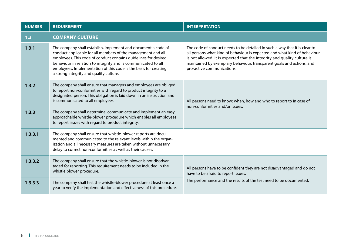| <b>NUMBER</b> | <b>REQUIREMENT</b>                                                                                                                                                                                                                                                                                                                                                               | <b>INTERPRETATION</b>                                                                                                                                                                                                                                                                                                                      |
|---------------|----------------------------------------------------------------------------------------------------------------------------------------------------------------------------------------------------------------------------------------------------------------------------------------------------------------------------------------------------------------------------------|--------------------------------------------------------------------------------------------------------------------------------------------------------------------------------------------------------------------------------------------------------------------------------------------------------------------------------------------|
| 1.3           | <b>COMPANY CULTURE</b>                                                                                                                                                                                                                                                                                                                                                           |                                                                                                                                                                                                                                                                                                                                            |
| 1.3.1         | The company shall establish, implement and document a code of<br>conduct applicable for all members of the management and all<br>employees. This code of conduct contains guidelines for desired<br>behaviour in relation to integrity and is communicated to all<br>employees. Implementation of this code is the basis for creating<br>a strong integrity and quality culture. | The code of conduct needs to be detailed in such a way that it is clear to<br>all persons what kind of behaviour is expected and what kind of behaviour<br>is not allowed. It is expected that the integrity and quality culture is<br>maintained by exemplary behaviour, transparent goals and actions, and<br>pro-active communications. |
| 1.3.2         | The company shall ensure that managers and employees are obliged<br>to report non-conformities with regard to product integrity to a<br>designated person. This obligation is laid down in an instruction and<br>is communicated to all employees.                                                                                                                               | All persons need to know: when, how and who to report to in case of<br>non-conformities and/or issues.                                                                                                                                                                                                                                     |
| 1.3.3         | The company shall determine, communicate and implement an easy<br>approachable whistle-blower procedure which enables all employees<br>to report issues with regard to product integrity.                                                                                                                                                                                        |                                                                                                                                                                                                                                                                                                                                            |
| 1.3.3.1       | The company shall ensure that whistle-blower-reports are docu-<br>mented and communicated to the relevant levels within the organ-<br>ization and all necessary measures are taken without unnecessary<br>delay to correct non-conformities as well as their causes.                                                                                                             |                                                                                                                                                                                                                                                                                                                                            |
| 1.3.3.2       | The company shall ensure that the whistle-blower is not disadvan-<br>taged for reporting. This requirement needs to be included in the<br>whistle blower procedure.                                                                                                                                                                                                              | All persons have to be confident they are not disadvantaged and do not<br>have to be afraid to report issues.                                                                                                                                                                                                                              |
| 1.3.3.3       | The company shall test the whistle-blower procedure at least once a<br>year to verify the implementation and effectiveness of this procedure.                                                                                                                                                                                                                                    | The performance and the results of the test need to be documented.                                                                                                                                                                                                                                                                         |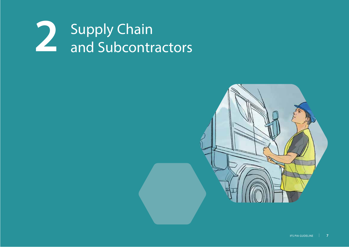

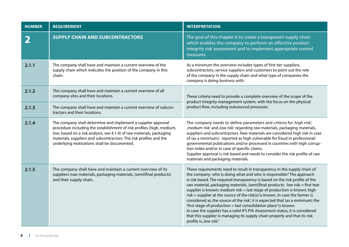| <b>NUMBER</b> | <b>REQUIREMENT</b>                                                                                                                                                                                                                                                                                                                   | <b>INTERPRETATION</b>                                                                                                                                                                                                                                                                                                                                                                                                                                                                                                                                                                                                                                                                                                                                                                                                         |
|---------------|--------------------------------------------------------------------------------------------------------------------------------------------------------------------------------------------------------------------------------------------------------------------------------------------------------------------------------------|-------------------------------------------------------------------------------------------------------------------------------------------------------------------------------------------------------------------------------------------------------------------------------------------------------------------------------------------------------------------------------------------------------------------------------------------------------------------------------------------------------------------------------------------------------------------------------------------------------------------------------------------------------------------------------------------------------------------------------------------------------------------------------------------------------------------------------|
|               | <b>SUPPLY CHAIN AND SUBCONTRACTORS</b>                                                                                                                                                                                                                                                                                               | The goal of this chapter is to create a transparent supply chain<br>which enables the company to perform an effective product<br>integrity risk assessment and to implement appropriate control<br>measures.                                                                                                                                                                                                                                                                                                                                                                                                                                                                                                                                                                                                                  |
| 2.1.1         | The company shall have and maintain a current overview of the<br>supply chain which indicates the position of the company in this<br>chain.                                                                                                                                                                                          | As a minimum the overview includes types of first tier suppliers,<br>subcontractors, service suppliers and customers to point out the role<br>of the company in the supply chain and what type of companies the<br>company is doing business with.                                                                                                                                                                                                                                                                                                                                                                                                                                                                                                                                                                            |
| 2.1.2         | The company shall have and maintain a current overview of all<br>company sites and their locations.                                                                                                                                                                                                                                  | These criteria need to provide a complete overview of the scope of the<br>product integrity management system, with the focus on the physical                                                                                                                                                                                                                                                                                                                                                                                                                                                                                                                                                                                                                                                                                 |
| 2.1.3         | The company shall have and maintain a current overview of subcon-<br>tractors and their locations.                                                                                                                                                                                                                                   | product flow, including outsourced processes.                                                                                                                                                                                                                                                                                                                                                                                                                                                                                                                                                                                                                                                                                                                                                                                 |
| 2.1.4         | The company shall determine and implement a supplier approval<br>procedure including the establishment of risk profiles (high, medium,<br>low; based on a risk analysis, see 4.1.4) of raw materials, packaging<br>materials, suppliers and subcontractors. The risk profiles and the<br>underlying motivations shall be documented. | The company needs to define parameters and criteria for, high risk',<br>, medium risk' and, low risk' regarding raw materials, packaging materials,<br>suppliers and subcontractors. Raw materials are considered high risk in case<br>of (as a minimum): reported as high vulnerable for fraud in professional/<br>governmental publications and/or processed in countries with high corrup-<br>tion index and/or in case of specific claims.<br>Supplier approval is risk based and needs to consider the risk profile of raw<br>materials and packaging materials.                                                                                                                                                                                                                                                         |
| 2.1.5         | The company shall have and maintain a current overview of its<br>suppliers (raw materials, packaging materials, (semi)final products)<br>and their supply chain.                                                                                                                                                                     | These requirements need to result in transparency in the supply chain of<br>the company: who is doing what and who is responsible? The approach<br>is risk based. The required transparency is based on the risk profile of the<br>raw material, packaging materials, (semi)final products: low risk = first tear<br>supplier is known; medium risk = last stage of production is known; high<br>$risk =$ supplier at the source of the risk(s) is known. In case the farmer is<br>considered as, the source of the risk', it is expected that (as a minimum) the<br>'first stage of production = last consolidation place' is known.<br>In case the supplier has a valid IFS PIA Assessment status, it is considered<br>that this supplier is managing its supply chain properly and that its risk<br>profile is "low risk". |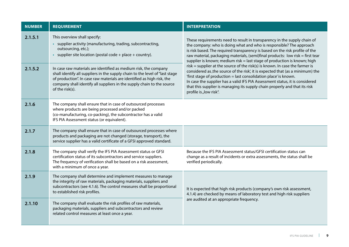| <b>NUMBER</b> | <b>REQUIREMENT</b>                                                                                                                                                                                                                                                                                                      | <b>INTERPRETATION</b>                                                                                                                                                                                                                                                                                                                                                                                                        |
|---------------|-------------------------------------------------------------------------------------------------------------------------------------------------------------------------------------------------------------------------------------------------------------------------------------------------------------------------|------------------------------------------------------------------------------------------------------------------------------------------------------------------------------------------------------------------------------------------------------------------------------------------------------------------------------------------------------------------------------------------------------------------------------|
| 2.1.5.1       | This overview shall specify:<br>• supplier activity (manufacturing, trading, subcontracting,<br>outsourcing, etc.);<br>• supplier site location (postal code + place + country).                                                                                                                                        | These requirements need to result in transparency in the supply chain of<br>the company: who is doing what and who is responsible? The approach<br>is risk based. The required transparency is based on the risk profile of the<br>raw material, packaging materials, (semi)final products: low risk = first tear<br>supplier is known; medium risk = last stage of production is known; high                                |
| 2.1.5.2       | In case raw materials are identified as medium risk, the company<br>shall identify all suppliers in the supply chain to the level of "last stage<br>of production". In case raw materials are identified as high risk, the<br>company shall identify all suppliers in the supply chain to the source<br>of the risk(s). | $risk$ = supplier at the source of the risk(s) is known. In case the farmer is<br>considered as, the source of the risk', it is expected that (as a minimum) the<br>'first stage of production = last consolidation place' is known.<br>In case the supplier has a valid IFS PIA Assessment status, it is considered<br>that this supplier is managing its supply chain properly and that its risk<br>profile is "low risk". |
| 2.1.6         | The company shall ensure that in case of outsourced processes<br>where products are being processed and/or packed<br>(co-manufacturing, co-packing), the subcontractor has a valid<br>IFS PIA Assessment status (or equivalent).                                                                                        |                                                                                                                                                                                                                                                                                                                                                                                                                              |
| 2.1.7         | The company shall ensure that in case of outsourced processes where<br>products and packaging are not changed (storage, transport), the<br>service supplier has a valid certificate of a GFSI approved standard.                                                                                                        |                                                                                                                                                                                                                                                                                                                                                                                                                              |
| 2.1.8         | The company shall verify the IFS PIA Assessment status or GFSI<br>certification status of its subcontractors and service suppliers.<br>The frequency of verification shall be based on a risk assessment,<br>with a minimum of once a year.                                                                             | Because the IFS PIA Assessment status/GFSI certification status can<br>change as a result of incidents or extra assessments, the status shall be<br>verified periodically.                                                                                                                                                                                                                                                   |
| 2.1.9         | The company shall determine and implement measures to manage<br>the integrity of raw materials, packaging materials, suppliers and<br>subcontractors (see 4.1.6). The control measures shall be proportional<br>to established risk profiles.                                                                           | It is expected that high risk products (company's own risk assessment,<br>4.1.4) are checked by means of laboratory test and high risk suppliers                                                                                                                                                                                                                                                                             |
| 2.1.10        | The company shall evaluate the risk profiles of raw materials,<br>packaging materials, suppliers and subcontractors and review<br>related control measures at least once a year.                                                                                                                                        | are audited at an appropriate frequency.                                                                                                                                                                                                                                                                                                                                                                                     |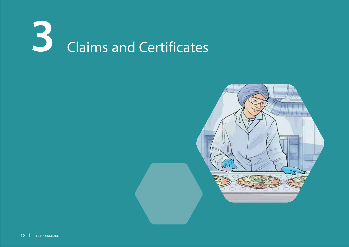

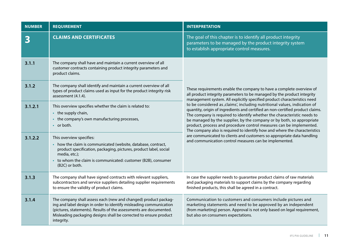| <b>NUMBER</b> | <b>REQUIREMENT</b>                                                                                                                                                                                                                                                                             | <b>INTERPRETATION</b>                                                                                                                                                                                                                                                                                                                                                                                                                                                                                                                                                                                     |
|---------------|------------------------------------------------------------------------------------------------------------------------------------------------------------------------------------------------------------------------------------------------------------------------------------------------|-----------------------------------------------------------------------------------------------------------------------------------------------------------------------------------------------------------------------------------------------------------------------------------------------------------------------------------------------------------------------------------------------------------------------------------------------------------------------------------------------------------------------------------------------------------------------------------------------------------|
| 3             | <b>CLAIMS AND CERTIFICATES</b>                                                                                                                                                                                                                                                                 | The goal of this chapter is to identify all product integrity<br>parameters to be managed by the product integrity system<br>to establish appropriate control measures.                                                                                                                                                                                                                                                                                                                                                                                                                                   |
| 3.1.1         | The company shall have and maintain a current overview of all<br>customer contracts containing product integrity parameters and<br>product claims.                                                                                                                                             |                                                                                                                                                                                                                                                                                                                                                                                                                                                                                                                                                                                                           |
| 3.1.2         | The company shall identify and maintain a current overview of all<br>types of product claims used as input for the product integrity risk<br>assessment (4.1.4).                                                                                                                               | These requirements enable the company to have a complete overview of<br>all product integrity parameters to be managed by the product integrity<br>management system. All explicitly specified product characteristics need                                                                                                                                                                                                                                                                                                                                                                               |
| 3.1.2.1       | This overview specifies whether the claim is related to:<br>• the supply chain,<br>the company's own manufacturing processes,<br>• or both.                                                                                                                                                    | to be considered as , claims', including nutritional values, indication of<br>quantity, origin of ingredients and certified an non-certified product claims.<br>The company is required to identify whether the characteristic needs to<br>be managed by the supplier, by the company or by both, so appropriate<br>product, process and procedure control measures can be implemented.<br>The company also is required to identify how and where the characteristics<br>are communicated to clients and customers so appropriate data handling<br>and communication control measures can be implemented. |
| 3.1.2.2       | This overview specifies:<br>how the claim is communicated (website, database, contract,<br>product specification, packaging, pictures, product label, social<br>media, etc.);<br>to whom the claim is communicated: customer (B2B), consumer<br>(B2C) or both.                                 |                                                                                                                                                                                                                                                                                                                                                                                                                                                                                                                                                                                                           |
| 3.1.3         | The company shall have signed contracts with relevant suppliers,<br>subcontractors and service suppliers detailing supplier requirements<br>to ensure the validity of product claims.                                                                                                          | In case the supplier needs to guarantee product claims of raw materials<br>and packaging materials to support claims by the company regarding<br>finished products, this shall be agreed in a contract.                                                                                                                                                                                                                                                                                                                                                                                                   |
| 3.1.4         | The company shall assess each (new and changed) product packag-<br>ing and label design in order to identify misleading communication<br>(pictures, statements). Results of the assessments are documented.<br>Misleading packaging designs shall be corrected to ensure product<br>integrity. | Communication to customers and consumers include pictures and<br>marketing statements and need to be approved by an independent<br>(from marketing) person. Approval is not only based on legal requirement,<br>but also on consumers expectations.                                                                                                                                                                                                                                                                                                                                                       |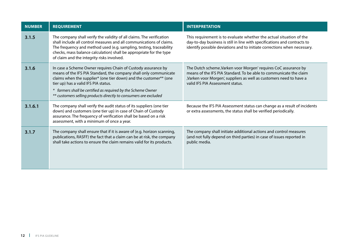| <b>NUMBER</b> | <b>REQUIREMENT</b>                                                                                                                                                                                                                                                                                                                                                                  | <b>INTERPRETATION</b>                                                                                                                                                                                                                            |
|---------------|-------------------------------------------------------------------------------------------------------------------------------------------------------------------------------------------------------------------------------------------------------------------------------------------------------------------------------------------------------------------------------------|--------------------------------------------------------------------------------------------------------------------------------------------------------------------------------------------------------------------------------------------------|
| 3.1.5         | The company shall verify the validity of all claims. The verification<br>shall include all control measures and all communications of claims.<br>The frequency and method used (e.g. sampling, testing, traceability<br>checks, mass balance calculation) shall be appropriate for the type<br>of claim and the integrity risks involved.                                           | This requirement is to evaluate whether the actual situation of the<br>day-to-day business is still in line with specifications and contracts to<br>identify possible deviations and to initiate corrections when necessary.                     |
| 3.1.6         | In case a Scheme Owner requires Chain of Custody assurance by<br>means of the IFS PIA Standard, the company shall only communicate<br>claims when the supplier* (one tier down) and the customer** (one<br>tier up) has a valid IFS PIA status.<br>* farmers shall be certified as required by the Scheme Owner<br>** customers selling products directly to consumers are excluded | The Dutch scheme, Varken voor Morgen' requires CoC assurance by<br>means of the IFS PIA Standard. To be able to communicate the claim<br>,Varken voor Morgen', suppliers as well as customers need to have a<br>valid IFS PIA Assessment status. |
| 3.1.6.1       | The company shall verify the audit status of its suppliers (one tier<br>down) and customers (one tier up) in case of Chain of Custody<br>assurance. The frequency of verification shall be based on a risk<br>assessment, with a minimum of once a year.                                                                                                                            | Because the IFS PIA Assessment status can change as a result of incidents<br>or extra assessments, the status shall be verified periodically.                                                                                                    |
| 3.1.7         | The company shall ensure that if it is aware of (e.g. horizon scanning,<br>publications, RASFF) the fact that a claim can be at risk, the company<br>shall take actions to ensure the claim remains valid for its products.                                                                                                                                                         | The company shall initiate additional actions and control measures<br>(and not fully depend on third parties) in case of issues reported in<br>public media.                                                                                     |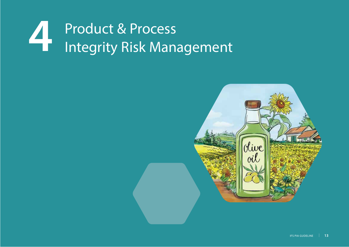

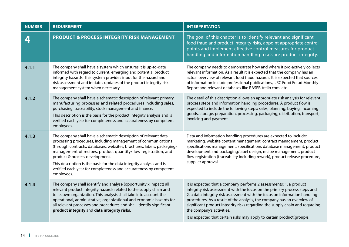| <b>NUMBER</b> | <b>REQUIREMENT</b>                                                                                                                                                                                                                                                                                                                                                                                                                                                        | <b>INTERPRETATION</b>                                                                                                                                                                                                                                                                                                                                                                                                                                                                            |
|---------------|---------------------------------------------------------------------------------------------------------------------------------------------------------------------------------------------------------------------------------------------------------------------------------------------------------------------------------------------------------------------------------------------------------------------------------------------------------------------------|--------------------------------------------------------------------------------------------------------------------------------------------------------------------------------------------------------------------------------------------------------------------------------------------------------------------------------------------------------------------------------------------------------------------------------------------------------------------------------------------------|
| 4             | <b>PRODUCT &amp; PROCESS INTEGRITY RISK MANAGEMENT</b>                                                                                                                                                                                                                                                                                                                                                                                                                    | The goal of this chapter is to identify relevant and significant<br>food fraud and product integrity risks, appoint appropriate control<br>points and implement effective control measures for product<br>handling and information handling to assure product integrity.                                                                                                                                                                                                                         |
| 4.1.1         | The company shall have a system which ensures it is up-to-date<br>informed with regard to current, emerging and potential product<br>integrity hazards. This system provides input for the hazard and<br>risk assessment and initiates updates of the product integrity risk<br>management system when necessary.                                                                                                                                                         | The company needs to demonstrate how and where it pro-actively collects<br>relevant information. As a result it is expected that the company has an<br>actual overview of relevant food fraud hazards. It is expected that sources<br>of information include professional publications, JRC Food Fraud Monthly<br>Report and relevant databases like RASFF, trello.com, etc.                                                                                                                     |
| 4.1.2         | The company shall have a schematic description of relevant primary<br>manufacturing processes and related procedures including sales,<br>purchasing, traceability, stock management and finance.<br>This description is the basis for the product integrity analysis and is<br>verified each year for completeness and accurateness by competent<br>employees.                                                                                                            | The detail of this description allows an appropriate risk analysis for relevant<br>process steps and information handling procedures. A product flow is<br>expected to include the following steps: sales, planning, buying, incoming<br>goods, storage, preparation, processing, packaging, distribution, transport,<br>invoicing and payment.                                                                                                                                                  |
| 4.1.3         | The company shall have a schematic description of relevant data<br>processing procedures, including management of communications<br>(through contracts, databases, websites, brochures, labels, packaging)<br>management of recipes, product quantity/flow registration, and<br>product & process development.<br>This description is the basis for the data integrity analysis and is<br>verified each year for completeness and accurateness by competent<br>employees. | Data and information handling procedures are expected to include:<br>marketing, website content management, contract management, product<br>specifications management, specifications database management, product<br>development and packaging/label design, recipe management, product<br>flow registration (traceability including rework), product release procedure,<br>supplier approval.                                                                                                  |
| 4.1.4         | The company shall identify and analyse (opportunity x impact) all<br>relevant product integrity hazards related to the supply chain and<br>to its own organization. This analysis shall take into account the<br>operational, administrative, organizational and economic hazards for<br>all relevant processes and procedures and shall identify significant<br>product integrity and data integrity risks.                                                              | It is expected that a company performs 2 assessments: 1. a product<br>integrity risk assessment with the focus on the primary process steps and<br>2. a data integrity risk assessment with the focus on information handling<br>procedures. As a result of the analysis, the company has an overview of<br>significant product integrity risks regarding the supply chain and regarding<br>the company's activities.<br>It is expected that certain risks may apply to certain product(group)s. |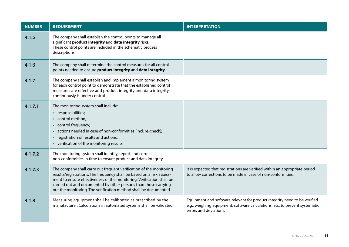| <b>NUMBER</b> | <b>REQUIREMENT</b>                                                                                                                                                                                                                                                                                                                                           | <b>INTERPRETATION</b>                                                                                                                                                              |
|---------------|--------------------------------------------------------------------------------------------------------------------------------------------------------------------------------------------------------------------------------------------------------------------------------------------------------------------------------------------------------------|------------------------------------------------------------------------------------------------------------------------------------------------------------------------------------|
| 4.1.5         | The company shall establish the control points to manage all<br>significant product integrity and data integrity risks.<br>These control points are included in the schematic process<br>descriptions.                                                                                                                                                       |                                                                                                                                                                                    |
| 4.1.6         | The company shall determine the control measures for all control<br>points needed to ensure product integrity and data integrity.                                                                                                                                                                                                                            |                                                                                                                                                                                    |
| 4.1.7         | The company shall establish and implement a monitoring system<br>for each control point to demonstrate that the established control<br>measures are effective and product integrity and data integrity<br>continuously is under control.                                                                                                                     |                                                                                                                                                                                    |
| 4.1.7.1       | The monitoring system shall include:<br>responsibilities;<br>$\bullet$<br>control method;<br>$\bullet$<br>control frequency;<br>$\bullet$<br>actions needed in case of non-conformities (incl. re-check);<br>registration of results and actions;<br>• verification of the monitoring results.                                                               |                                                                                                                                                                                    |
| 4.1.7.2       | The monitoring system shall identify, report and correct<br>non-conformities in time to ensure product and data integrity.                                                                                                                                                                                                                                   |                                                                                                                                                                                    |
| 4.1.7.3       | The company shall carry out frequent verification of the monitoring<br>results/registrations. The frequency shall be based on a risk assess-<br>ment to ensure effectiveness of the monitoring. Verification shall be<br>carried out and documented by other persons than those carrying<br>out the monitoring. The verification method shall be documented. | It is expected that registrations are verified within an appropriate period<br>to allow corrections to be made in case of non-conformities.                                        |
| 4.1.8         | Measuring equipment shall be calibrated as prescribed by the<br>manufacturer. Calculations in automated systems shall be validated.                                                                                                                                                                                                                          | Equipment and software relevant for product integrity need to be verified<br>e.g.: weighing equipment, software calculations, etc. to prevent systematic<br>errors and deviations. |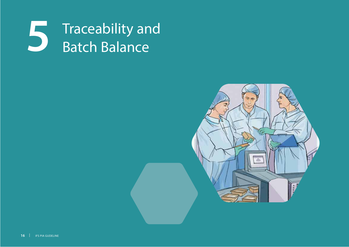

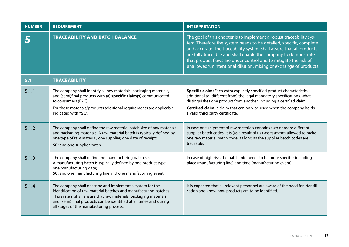| <b>NUMBER</b> | <b>REQUIREMENT</b>                                                                                                                                                                                                                                                                                                    | <b>INTERPRETATION</b>                                                                                                                                                                                                                                                                                                                                                                                                         |
|---------------|-----------------------------------------------------------------------------------------------------------------------------------------------------------------------------------------------------------------------------------------------------------------------------------------------------------------------|-------------------------------------------------------------------------------------------------------------------------------------------------------------------------------------------------------------------------------------------------------------------------------------------------------------------------------------------------------------------------------------------------------------------------------|
|               | <b>TRACEABILITY AND BATCH BALANCE</b>                                                                                                                                                                                                                                                                                 | The goal of this chapter is to implement a robust traceability sys-<br>tem. Therefore the system needs to be detailed, specific, complete<br>and accurate. The traceability system shall assure that all products<br>are fully traceable and shall enable the company to demonstrate<br>that product flows are under control and to mitigate the risk of<br>unallowed/unintentional dilution, mixing or exchange of products. |
| 5.1           | <b>TRACEABILITY</b>                                                                                                                                                                                                                                                                                                   |                                                                                                                                                                                                                                                                                                                                                                                                                               |
| 5.1.1         | The company shall identify all raw materials, packaging materials,<br>and (semi)final products with (a) specific claim(s) communicated<br>to consumers (B2C).<br>For these materials/products additional requirements are applicable<br>indicated with "SC".                                                          | Specific claim: Each extra explicitly specified product characteristic,<br>additional to (different from) the legal mandatory specifications, what<br>distinguishes one product from another, including a certified claim.<br>Certified claim: a claim that can only be used when the company holds<br>a valid third party certificate.                                                                                       |
| 5.1.2         | The company shall define the raw material batch size of raw materials<br>and packaging materials. A raw material batch is typically defined by<br>one type of raw material, one supplier, one date of receipt;<br>SC: and one supplier batch.                                                                         | In case one shipment of raw materials contains two or more different<br>supplier batch codes, it is (as a result of risk assessment) allowed to make<br>one raw material batch code, as long as the supplier batch codes are<br>traceable.                                                                                                                                                                                    |
| 5.1.3         | The company shall define the manufacturing batch size.<br>A manufacturing batch is typically defined by one product type,<br>one manufacturing date;<br>SC: and one manufacturing line and one manufacturing event.                                                                                                   | In case of high risk, the batch info needs to be more specific: including<br>place (manufacturing line) and time (manufacturing event).                                                                                                                                                                                                                                                                                       |
| 5.1.4         | The company shall describe and implement a system for the<br>identification of raw material batches and manufacturing batches.<br>This system shall ensure that raw materials, packaging materials<br>and (semi) final products can be identified at all times and during<br>all stages of the manufacturing process. | It is expected that all relevant personnel are aware of the need for identifi-<br>cation and know how products are to be identified.                                                                                                                                                                                                                                                                                          |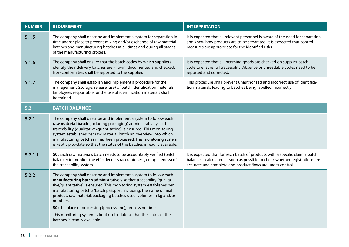| <b>NUMBER</b> | <b>REQUIREMENT</b>                                                                                                                                                                                                                                                                                                                                                                                                                                                                                                                                 | <b>INTERPRETATION</b>                                                                                                                                                                                                      |
|---------------|----------------------------------------------------------------------------------------------------------------------------------------------------------------------------------------------------------------------------------------------------------------------------------------------------------------------------------------------------------------------------------------------------------------------------------------------------------------------------------------------------------------------------------------------------|----------------------------------------------------------------------------------------------------------------------------------------------------------------------------------------------------------------------------|
| 5.1.5         | The company shall describe and implement a system for separation in<br>time and/or place to prevent mixing and/or exchange of raw material<br>batches and manufacturing batches at all times and during all stages<br>of the manufacturing process.                                                                                                                                                                                                                                                                                                | It is expected that all relevant personnel is aware of the need for separation<br>and know how products are to be separated. It is expected that control<br>measures are appropriate for the identified risks.             |
| 5.1.6         | The company shall ensure that the batch codes by which suppliers<br>identify their delivery batches are known, documented and checked.<br>Non-conformities shall be reported to the supplier.                                                                                                                                                                                                                                                                                                                                                      | It is expected that all incoming goods are checked on supplier batch<br>code to ensure full traceability. Absence or unreadable codes need to be<br>reported and corrected.                                                |
| 5.1.7         | The company shall establish and implement a procedure for the<br>management (storage, release, use) of batch identification materials.<br>Employees responsible for the use of identification materials shall<br>be trained.                                                                                                                                                                                                                                                                                                                       | This procedure shall prevent unauthorised and incorrect use of identifica-<br>tion materials leading to batches being labelled incorrectly.                                                                                |
| 5.2           | <b>BATCH BALANCE</b>                                                                                                                                                                                                                                                                                                                                                                                                                                                                                                                               |                                                                                                                                                                                                                            |
| 5.2.1         | The company shall describe and implement a system to follow each<br>raw material batch (including packaging) administratively so that<br>traceability (qualitative/quantitative) is ensured. This monitoring<br>system establishes per raw material batch an overview into which<br>manufacturing batches it has been processed. This monitoring system<br>is kept up-to-date so that the status of the batches is readily available.                                                                                                              |                                                                                                                                                                                                                            |
| 5.2.1.1       | SC: Each raw materials batch needs to be accountably verified (batch<br>balance) to monitor the effectiveness (accurateness, completeness) of<br>the traceability system.                                                                                                                                                                                                                                                                                                                                                                          | It is expected that for each batch of products with a specific claim a batch<br>balance is calculated as soon as possible to check whether registrations are<br>accurate and complete and product flows are under control. |
| 5.2.2         | The company shall describe and implement a system to follow each<br>manufacturing batch administratively so that traceability (qualita-<br>tive/quantitative) is ensured. This monitoring system establishes per<br>manufacturing batch a 'batch passport' including: the name of final<br>product, raw material/packaging batches used, volumes in kg and/or<br>numbers,<br>SC: the place of processing (process line), processing times.<br>This monitoring system is kept up-to-date so that the status of the<br>batches is readily available. |                                                                                                                                                                                                                            |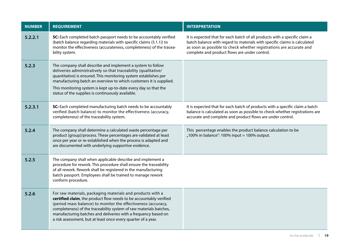| <b>NUMBER</b> | <b>REQUIREMENT</b>                                                                                                                                                                                                                                                                                                                                                                                         | <b>INTERPRETATION</b>                                                                                                                                                                                                                                                           |
|---------------|------------------------------------------------------------------------------------------------------------------------------------------------------------------------------------------------------------------------------------------------------------------------------------------------------------------------------------------------------------------------------------------------------------|---------------------------------------------------------------------------------------------------------------------------------------------------------------------------------------------------------------------------------------------------------------------------------|
| 5.2.2.1       | SC: Each completed batch passport needs to be accountably verified<br>(batch balance regarding materials with specific claims (5.1.1)) to<br>monitor the effectiveness (accurateness, completeness) of the tracea-<br>bility system.                                                                                                                                                                       | It is expected that for each batch of all products with a specific claim a<br>batch balance with regard to materials with specific claims is calculated<br>as soon as possible to check whether registrations are accurate and<br>complete and product flows are under control. |
| 5.2.3         | The company shall describe and implement a system to follow<br>deliveries administratively so that traceability (qualitative/<br>quantitative) is ensured. This monitoring system establishes per<br>manufacturing batch an overview to which customers it is supplied.<br>This monitoring system is kept up-to-date every day so that the<br>status of the supplies is continuously available.            |                                                                                                                                                                                                                                                                                 |
| 5.2.3.1       | SC: Each completed manufacturing batch needs to be accountably<br>verified (batch balance) to monitor the effectiveness (accuracy,<br>completeness) of the traceability system.                                                                                                                                                                                                                            | It is expected that for each batch of products with a specific claim a batch<br>balance is calculated as soon as possible to check whether registrations are<br>accurate and complete and product flows are under control.                                                      |
| 5.2.4         | The company shall determine a calculated waste percentage per<br>product (group)/process. These percentages are validated at least<br>once per year or re-established when the process is adapted and<br>are documented with underlying supportive evidence.                                                                                                                                               | This percentage enables the product balance calculation to be<br>"100% in balance": 100% input = 100% output.                                                                                                                                                                   |
| 5.2.5         | The company shall when applicable describe and implement a<br>procedure for rework. This procedure shall ensure the traceability<br>of all rework. Rework shall be registered in the manufacturing<br>batch passport. Employees shall be trained to manage rework<br>conform procedure.                                                                                                                    |                                                                                                                                                                                                                                                                                 |
| 5.2.6         | For raw materials, packaging materials and products with a<br>certified claim, the product flow needs to be accountably verified<br>(period mass balance) to monitor the effectiveness (accuracy,<br>completeness) of the traceability system of raw materials batches,<br>manufacturing batches and deliveries with a frequency based on<br>a risk assessment, but at least once every quarter of a year. |                                                                                                                                                                                                                                                                                 |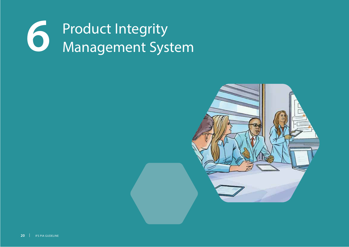

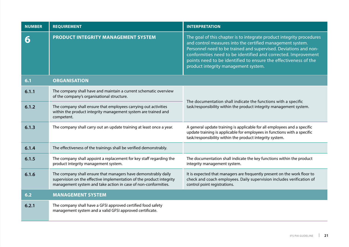| <b>NUMBER</b> | <b>REQUIREMENT</b>                                                                                                                                                                                       | <b>INTERPRETATION</b>                                                                                                                                                                                                                                                                                                                                                               |
|---------------|----------------------------------------------------------------------------------------------------------------------------------------------------------------------------------------------------------|-------------------------------------------------------------------------------------------------------------------------------------------------------------------------------------------------------------------------------------------------------------------------------------------------------------------------------------------------------------------------------------|
| 6             | <b>PRODUCT INTEGRITY MANAGEMENT SYSTEM</b>                                                                                                                                                               | The goal of this chapter is to integrate product integrity procedures<br>and control measures into the certified management system.<br>Personnel need to be trained and supervised. Deviations and non-<br>conformities need to be identified and corrected. Improvement<br>points need to be identified to ensure the effectiveness of the<br>product integrity management system. |
| 6.1           | <b>ORGANISATION</b>                                                                                                                                                                                      |                                                                                                                                                                                                                                                                                                                                                                                     |
| 6.1.1         | The company shall have and maintain a current schematic overview<br>of the company's organisational structure.                                                                                           | The documentation shall indicate the functions with a specific<br>task/responsibility within the product integrity management system.                                                                                                                                                                                                                                               |
| 6.1.2         | The company shall ensure that employees carrying out activities<br>within the product integrity management system are trained and<br>competent.                                                          |                                                                                                                                                                                                                                                                                                                                                                                     |
| 6.1.3         | The company shall carry out an update training at least once a year.                                                                                                                                     | A general update training is applicable for all employees and a specific<br>update training is applicable for employees in functions with a specific<br>task/responsibility within the product integrity system.                                                                                                                                                                    |
| 6.1.4         | The effectiveness of the trainings shall be verified demonstrably.                                                                                                                                       |                                                                                                                                                                                                                                                                                                                                                                                     |
| 6.1.5         | The company shall appoint a replacement for key staff regarding the<br>product integrity management system.                                                                                              | The documentation shall indicate the key functions within the product<br>integrity management system.                                                                                                                                                                                                                                                                               |
| 6.1.6         | The company shall ensure that managers have demonstrably daily<br>supervision on the effective implementation of the product integrity<br>management system and take action in case of non-conformities. | It is expected that managers are frequently present on the work floor to<br>check and coach employees. Daily supervision includes verification of<br>control point registrations.                                                                                                                                                                                                   |
| 6.2           | <b>MANAGEMENT SYSTEM</b>                                                                                                                                                                                 |                                                                                                                                                                                                                                                                                                                                                                                     |
| 6.2.1         | The company shall have a GFSI approved certified food safety<br>management system and a valid GFSI approved certificate.                                                                                 |                                                                                                                                                                                                                                                                                                                                                                                     |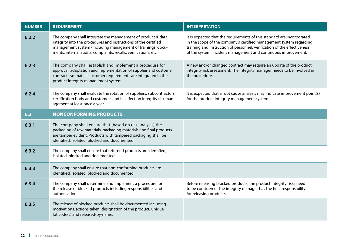| <b>NUMBER</b> | <b>REQUIREMENT</b>                                                                                                                                                                                                                                                   | <b>INTERPRETATION</b>                                                                                                                                                                                                                                                                       |
|---------------|----------------------------------------------------------------------------------------------------------------------------------------------------------------------------------------------------------------------------------------------------------------------|---------------------------------------------------------------------------------------------------------------------------------------------------------------------------------------------------------------------------------------------------------------------------------------------|
| 6.2.2         | The company shall integrate the management of product & data<br>integrity into the procedures and instructions of the certified<br>management system (including management of trainings, docu-<br>ments, internal audits, complaints, recalls, verifications, etc.). | It is expected that the requirements of this standard are incorporated<br>in the scope of the company's certified management system regarding<br>training and instruction of personnel, verification of the effectiveness<br>of the system, incident management and continuous improvement. |
| 6.2.3         | The company shall establish and implement a procedure for<br>approval, adaptation and implementation of supplier and customer<br>contracts so that all customer requirements are integrated in the<br>product integrity management system.                           | A new and/or changed contract may require an update of the product<br>integrity risk assessment. The integrity manager needs to be involved in<br>the procedure.                                                                                                                            |
| 6.2.4         | The company shall evaluate the rotation of suppliers, subcontractors,<br>certification body and customers and its effect on integrity risk man-<br>agement at least once a year.                                                                                     | It is expected that a root cause analysis may indicate improvement point(s)<br>for the product integrity management system.                                                                                                                                                                 |
| 6.3           | <b>NONCONFORMING PRODUCTS</b>                                                                                                                                                                                                                                        |                                                                                                                                                                                                                                                                                             |
| 6.3.1         | The company shall ensure that (based on risk analysis) the<br>packaging of raw materials, packaging materials and final products<br>are tamper evident. Products with tampered packaging shall be<br>identified, isolated, blocked and documented.                   |                                                                                                                                                                                                                                                                                             |
| 6.3.2         | The company shall ensure that returned products are identified,<br>isolated, blocked and documented.                                                                                                                                                                 |                                                                                                                                                                                                                                                                                             |
| 6.3.3         | The company shall ensure that non-conforming products are<br>identified, isolated, blocked and documented.                                                                                                                                                           |                                                                                                                                                                                                                                                                                             |
| 6.3.4         | The company shall determine and implement a procedure for<br>the release of blocked products including responsibilities and<br>authorisations.                                                                                                                       | Before releasing blocked products, the product integrity risks need<br>to be considered. The integrity manager has the final responsibility<br>for releasing products.                                                                                                                      |
| 6.3.5         | The release of blocked products shall be documented including<br>motivations, actions taken, designation of the product, unique<br>lot code(s) and released-by-name.                                                                                                 |                                                                                                                                                                                                                                                                                             |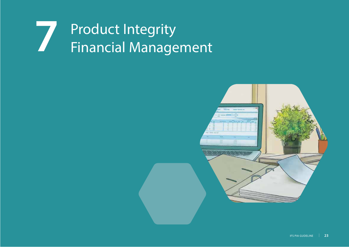## Product Integrity **7**Financial Management

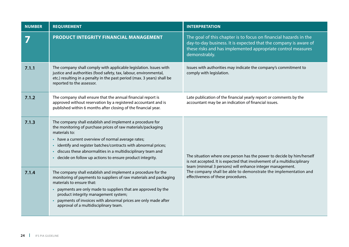| <b>NUMBER</b> | <b>REQUIREMENT</b>                                                                                                                                                                                                                                                                                                                                                                                          | <b>INTERPRETATION</b>                                                                                                                                                                                                 |
|---------------|-------------------------------------------------------------------------------------------------------------------------------------------------------------------------------------------------------------------------------------------------------------------------------------------------------------------------------------------------------------------------------------------------------------|-----------------------------------------------------------------------------------------------------------------------------------------------------------------------------------------------------------------------|
|               | PRODUCT INTEGRITY FINANCIAL MANAGEMENT                                                                                                                                                                                                                                                                                                                                                                      | The goal of this chapter is to focus on financial hazards in the<br>day-to-day business. It is expected that the company is aware of<br>these risks and has implemented appropriate control measures<br>demonstrably. |
| 7.1.1         | The company shall comply with applicable legislation. Issues with<br>justice and authorities (food safety, tax, labour, environmental,<br>etc.) resulting in a penalty in the past period (max. 3 years) shall be<br>reported to the assessor.                                                                                                                                                              | Issues with authorities may indicate the company's commitment to<br>comply with legislation.                                                                                                                          |
| 7.1.2         | The company shall ensure that the annual financial report is<br>approved without reservation by a registered accountant and is<br>published within 6 months after closing of the financial year.                                                                                                                                                                                                            | Late publication of the financial yearly report or comments by the<br>accountant may be an indication of financial issues.                                                                                            |
| 7.1.3         | The company shall establish and implement a procedure for<br>the monitoring of purchase prices of raw materials/packaging<br>materials to:<br>• have a current overview of normal average rates;<br>identify and register batches/contracts with abnormal prices;<br>$\bullet$<br>discuss these abnormalities in a multidisciplinary team and<br>· decide on follow up actions to ensure product integrity. | The situation where one person has the power to decide by him/herself<br>is not accepted. It is expected that involvement of a multidisciplinary                                                                      |
| 7.1.4         | The company shall establish and implement a procedure for the<br>monitoring of payments to suppliers of raw materials and packaging<br>materials to ensure that:<br>payments are only made to suppliers that are approved by the<br>$\bullet$<br>product integrity management system;<br>payments of invoices with abnormal prices are only made after<br>approval of a multidisciplinary team.             | team (minimal 3 persons) will enhance integer management.<br>The company shall be able to demonstrate the implementation and<br>effectiveness of these procedures.                                                    |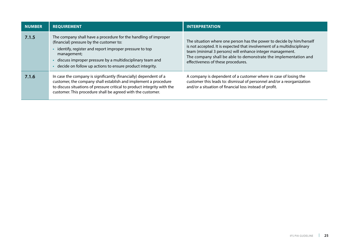| <b>NUMBER</b> | <b>REQUIREMENT</b>                                                                                                                                                                                                                                                                                            | <b>INTERPRETATION</b>                                                                                                                                                                                                                                                                                                  |
|---------------|---------------------------------------------------------------------------------------------------------------------------------------------------------------------------------------------------------------------------------------------------------------------------------------------------------------|------------------------------------------------------------------------------------------------------------------------------------------------------------------------------------------------------------------------------------------------------------------------------------------------------------------------|
| 7.1.5         | The company shall have a procedure for the handling of improper<br>(financial) pressure by the customer to:<br>identify, register and report improper pressure to top<br>management;<br>discuss improper pressure by a multidisciplinary team and<br>decide on follow up actions to ensure product integrity. | The situation where one person has the power to decide by him/herself<br>is not accepted. It is expected that involvement of a multidisciplinary<br>team (minimal 3 persons) will enhance integer management.<br>The company shall be able to demonstrate the implementation and<br>effectiveness of these procedures. |
| 7.1.6         | In case the company is significantly (financially) dependent of a<br>customer, the company shall establish and implement a procedure<br>to discuss situations of pressure critical to product integrity with the<br>customer. This procedure shall be agreed with the customer.                               | A company is dependent of a customer where in case of losing the<br>customer this leads to: dismissal of personnel and/or a reorganization<br>and/or a situation of financial loss instead of profit.                                                                                                                  |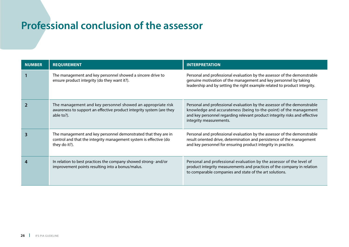## **Professional conclusion of the assessor**

| <b>NUMBER</b> | <b>REQUIREMENT</b>                                                                                                                                   | <b>INTERPRETATION</b>                                                                                                                                                                                                                                  |
|---------------|------------------------------------------------------------------------------------------------------------------------------------------------------|--------------------------------------------------------------------------------------------------------------------------------------------------------------------------------------------------------------------------------------------------------|
|               | The management and key personnel showed a sincere drive to<br>ensure product integrity (do they want it?).                                           | Personal and professional evaluation by the assessor of the demonstrable<br>genuine motivation of the management and key personnel by taking<br>leadership and by setting the right example related to product integrity.                              |
|               | The management and key personnel showed an appropriate risk<br>awareness to support an effective product integrity system (are they<br>able to?).    | Personal and professional evaluation by the assessor of the demonstrable<br>knowledge and accurateness (being to-the-point) of the management<br>and key personnel regarding relevant product integrity risks and effective<br>integrity measurements. |
|               | The management and key personnel demonstrated that they are in<br>control and that the integrity management system is effective (do<br>they do it?). | Personal and professional evaluation by the assessor of the demonstrable<br>result oriented drive, determination and persistence of the management<br>and key personnel for ensuring product integrity in practice.                                    |
|               | In relation to best practices the company showed strong- and/or<br>improvement points resulting into a bonus/malus.                                  | Personal and professional evaluation by the assessor of the level of<br>product integrity measurements and practices of the company in relation<br>to comparable companies and state of the art solutions.                                             |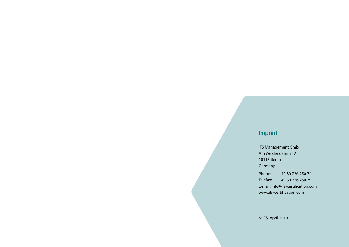#### **Imprint**

IFS Management GmbH Am Weidendamm 1A 10117 Berlin Germany

Phone: +49 30 726 250 74 Telefax: +49 30 726 250 79 E-mail: info@ifs-certification.com www.ifs-certification.com

© IFS, April 2019